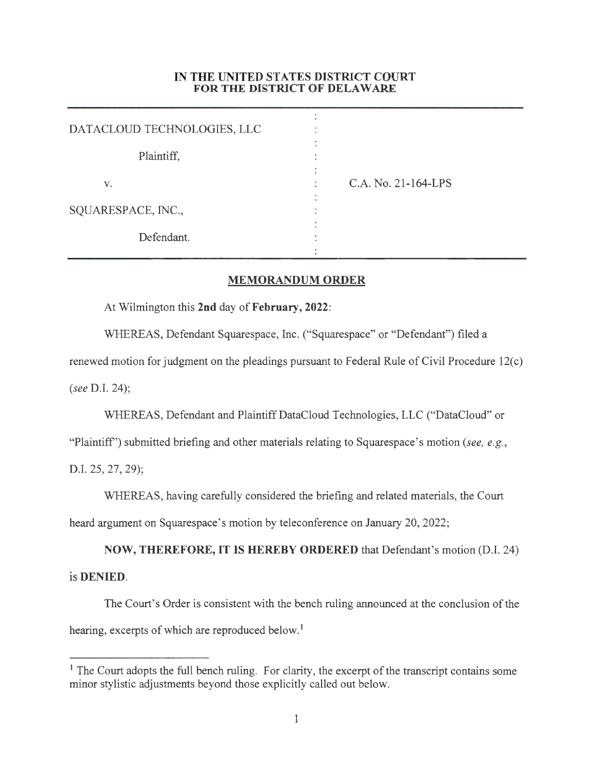## **IN THE UNITED STATES DISTRICT COURT FOR THE DISTRICT OF DELAWARE**

| DATACLOUD TECHNOLOGIES, LLC |                     |
|-----------------------------|---------------------|
| Plaintiff,                  |                     |
| V.                          | C.A. No. 21-164-LPS |
| SQUARESPACE, INC.,          |                     |
| Defendant.                  |                     |

## **MEMORANDUM ORDER**

At Wilmington this **2nd** day of **February, 2022:** 

WHEREAS, Defendant Squarespace, Inc. ("Squarespace" or "Defendant") filed a

renewed motion for judgment on the pleadings pursuant to Federal Rule of Civil Procedure 12(c) *(see* D.I. 24);

WHEREAS, Defendant and Plaintiff DataCloud Technologies, LLC ("DataCloud" or

"Plaintiff'') submitted briefing and other materials relating to Squarespace's motion *(see, e.g. ,* 

D.I. 25, 27, 29);

WHEREAS, having carefully considered the briefing and related materials, the Court heard argument on Squarespace's motion by teleconference on January 20, 2022;

**NOW, THEREFORE, IT IS HEREBY ORDERED** that Defendant's motion (D.I. 24) is **DENIED.** 

The Court's Order is consistent with the bench ruling announced at the conclusion of the hearing, excerpts of which are reproduced below.<sup>1</sup>

<sup>&</sup>lt;sup>1</sup> The Court adopts the full bench ruling. For clarity, the excerpt of the transcript contains some minor stylistic adjustments beyond those explicitly called out below.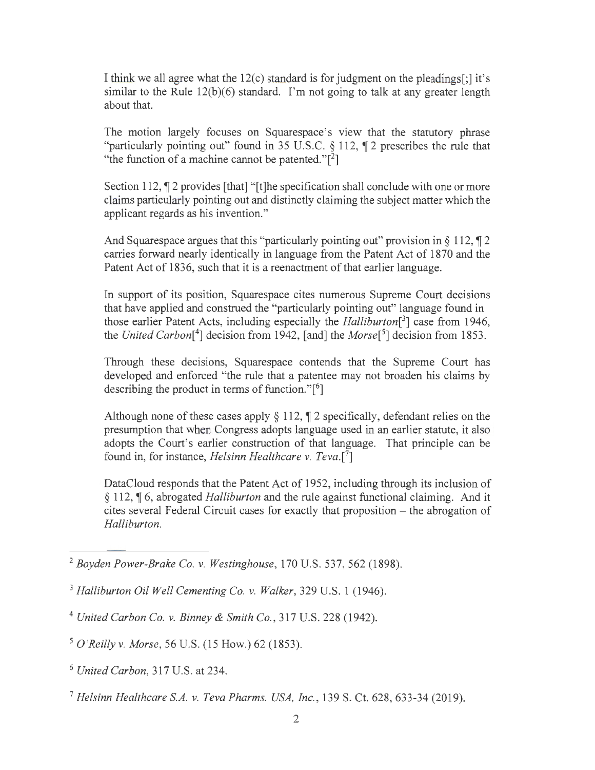I think we all agree what the  $12(c)$  standard is for judgment on the pleadings[;] it's similar to the Rule  $12(b)(6)$  standard. I'm not going to talk at any greater length about that.

The motion largely focuses on Squarespace's view that the statutory phrase "particularly pointing out" found in 35 U.S.C. § 112, ¶ 2 prescribes the rule that "the function of a machine cannot be patented." $[2]$ 

Section 112,  $\P$  2 provides [that] "[t]he specification shall conclude with one or more claims particularly pointing out and distinctly claiming the subject matter which the applicant regards as his invention."

And Squarespace argues that this "particularly pointing out" provision in  $\S 112$ ,  $\P 2$ carries forward nearly identically in language from the Patent Act of 1870 and the Patent Act of 1836, such that it is a reenactment of that earlier language.

In support of its position, Squarespace cites numerous Supreme Court decisions that have applied and construed the "particularly pointing out" language found in those earlier Patent Acts, including especially the *Halliburton[3]* case from 1946, the *United Carbon[4]* decision from 1942, [ and] the *Morse[5]* decision from 1853.

Through these decisions, Squarespace contends that the Supreme Court has developed and enforced "the rule that a patentee may not broaden his claims by describing the product in terms of function."[<sup>6</sup>]

Although none of these cases apply  $\S 112$ ,  $\P 2$  specifically, defendant relies on the presumption that when Congress adopts language used in an earlier statute, it also adopts the Court's earlier construction of that language. That principle can be found in, for instance, *Helsinn Healthcare v. Teva.* [7]

DataCloud responds that the Patent Act of 1952, including through its inclusion of § 112, ¶ 6, abrogated *Halliburton* and the rule against functional claiming. And it cites several Federal Circuit cases for exactly that proposition - the abrogation of *Halliburton.* 

<sup>2</sup>*Boyden Power-Brake Co. v. Westinghouse ,* 170 U.S. 537, 562 (1898).

<sup>3</sup>*Halliburton Oil Well Cementing Co. v. Walker,* 329 U.S. 1 (1946).

<sup>4</sup>*United Carbon Co. v. Binney & Smith Co. ,* 317 U.S. 228 (1942).

<sup>5</sup>*O 'Reilly v. Morse ,* 56 U.S. (15 How.) 62 (1853).

<sup>6</sup>*United Carbon,* 317 U.S. at 234.

<sup>7</sup>*Helsinn Healthcare SA. v. Teva Pharms. USA, Inc.,* 139 S. Ct. 628, 633-34 (2019).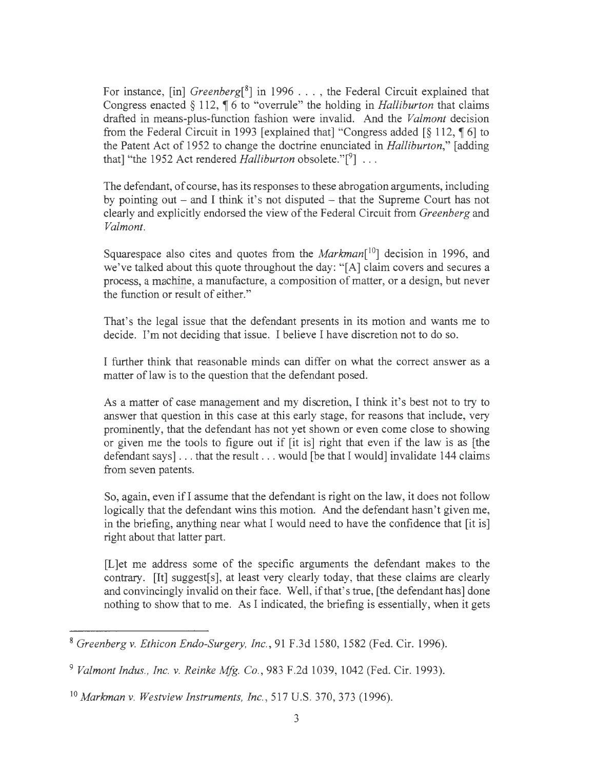For instance, [in] *Greenberg*<sup>[8</sup>] in 1996 . . . , the Federal Circuit explained that Congress enacted  $\S 112$ ,  $\P 6$  to "overrule" the holding in *Halliburton* that claims drafted in means-plus-function fashion were invalid. And the *Valmont* decision from the Federal Circuit in 1993 [explained that] "Congress added  $\lceil \S 112, \P 6 \rceil$  to the Patent Act of 1952 to change the doctrine enunciated in *Halliburton,"* [adding that] "the 1952 Act rendered *Halliburton* obsolete."<sup>[9</sup>] ...

The defendant, of course, has its responses to these abrogation arguments, including by pointing out  $-$  and I think it's not disputed  $-$  that the Supreme Court has not clearly and explicitly endorsed the view of the Federal Circuit from *Greenberg* and *Valmont.* 

Squarespace also cites and quotes from the *Markman*<sup>[10</sup>] decision in 1996, and we've talked about this quote throughout the day: "[A] claim covers and secures a process, a machine, a manufacture, a composition of matter, or a design, but never the function or result of either."

That's the legal issue that the defendant presents in its motion and wants me to decide. I'm not deciding that issue. I believe I have discretion not to do so.

I further think that reasonable minds can differ on what the correct answer as a matter of law is to the question that the defendant posed.

As a matter of case management and my discretion, I think it's best not to try to answer that question in this case at this early stage, for reasons that include, very prominently, that the defendant has not yet shown or even come close to showing or given me the tools to figure out if [it is] right that even if the law is as [the defendant says] ... that the result ... would [be that I would] invalidate 144 claims from seven patents.

So, again, even if I assume that the defendant is right on the law, it does not follow logically that the defendant wins this motion. And the defendant hasn't given me, in the briefing, anything near what I would need to have the confidence that [it is] right about that latter part.

[L]et me address some of the specific arguments the defendant makes to the contrary. [It] suggest[s], at least very clearly today, that these claims are clearly and convincingly invalid on their face. Well, if that's true, [the defendant has] done nothing to show that to me. As I indicated, the briefing is essentially, when it gets

<sup>8</sup>*Greenberg v. Ethicon Endo-Surgery, Inc.,* 91 F.3d 1580, 1582 (Fed. Cir. 1996).

<sup>9</sup>*Valmont Indus., Inc. v. Reinke Mfg. Co.,* 983 F.2d 1039, 1042 (Fed. Cir. 1993).

<sup>&</sup>lt;sup>10</sup> Markman v. Westview Instruments, Inc., 517 U.S. 370, 373 (1996).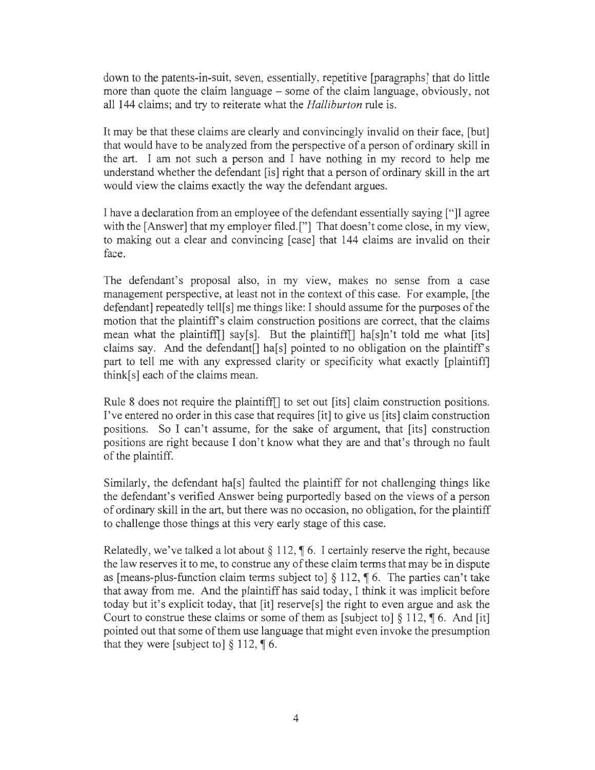down to the patents-in-suit, seven, essentially, repetitive [paragraphs] that do little more than quote the claim language - some of the claim language, obviously, not all 144 claims; and try to reiterate what the *Halliburton* rule is.

It may be that these claims are clearly and convincingly invalid on their face, [but] that would have to be analyzed from the perspective of a person of ordinary skill in the art. I am not such a person and I have nothing in my record to help me understand whether the defendant [is] right that a person of ordinary skill in the art would view the claims exactly the way the defendant argues.

I have a declaration from an employee of the defendant essentially saying ["JI agree with the [Answer] that my employer filed.["] That doesn't come close, in my view, to making out a clear and convincing [case] that 144 claims are invalid on their face.

The defendant's proposal also, in my view, makes no sense from a case management perspective, at least not in the context of this case. For example, [the defendant] repeatedly tell[s] me things like: I should assume for the purposes of the motion that the plaintiff's claim construction positions are correct, that the claims mean what the plaintiff  $\lceil$  say  $\lceil s \rceil$ . But the plaintiff  $\lceil s \rceil$  has  $\lceil s \rceil$  told me what  $\lceil s \rceil$ claims say. And the defendant<sup>[]</sup> ha<sup>[s]</sup> pointed to no obligation on the plaintiff's part to tell me with any expressed clarity or specificity what exactly [plaintiff] think[s] each of the claims mean.

Rule 8 does not require the plaintiff[] to set out [its] claim construction positions. I've entered no order in this case that requires [it] to give us [its] claim construction positions. So I can't assume, for the sake of argument, that [its] construction positions are right because I don't know what they are and that's through no fault of the plaintiff.

Similarly, the defendant ha[s] faulted the plaintiff for not challenging things like the defendant's verified Answer being purportedly based on the views of a person of ordinary skill in the art, but there was no occasion, no obligation, for the plaintiff to challenge those things at this very early stage of this case.

Relatedly, we've talked a lot about  $\S 112$ ,  $\uparrow$  6. I certainly reserve the right, because the law reserves it to me, to construe any of these claim terms that may be in dispute as [means-plus-function claim terms subject to]  $\S 112$ ,  $\P 6$ . The parties can't take that away from me. And the plaintiff has said today, I think it was implicit before today but it's explicit today, that [it] reserve[s] the right to even argue and ask the Court to construe these claims or some of them as [subject to]  $\S 112$ ,  $\P 6$ . And [it] pointed out that some of them use language that might even invoke the presumption that they were [subject to]  $\S 112$ , **[6.**]